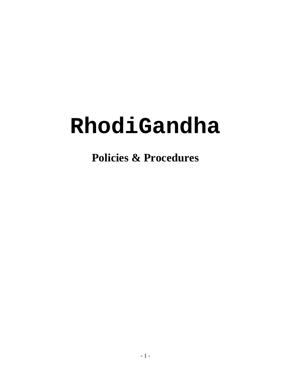# **RhodiGandha**

**Policies & Procedures**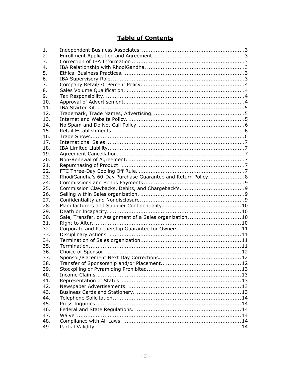## **Table of Contents**

| 1.  |                                                            |
|-----|------------------------------------------------------------|
| 2.  |                                                            |
| 3.  |                                                            |
| 4.  |                                                            |
| 5.  |                                                            |
| 6.  |                                                            |
| 7.  |                                                            |
| 8.  |                                                            |
| 9.  |                                                            |
| 10. |                                                            |
| 11. |                                                            |
| 12. |                                                            |
| 13. |                                                            |
| 14. |                                                            |
| 15. |                                                            |
| 16. |                                                            |
| 17. |                                                            |
| 18. |                                                            |
| 19. |                                                            |
| 20. |                                                            |
| 21. |                                                            |
| 22. |                                                            |
| 23. | RhodiGandha's 60-Day Purchase Guarantee and Return Policy8 |
| 24. |                                                            |
| 25. |                                                            |
| 26. |                                                            |
| 27. |                                                            |
| 28. |                                                            |
| 29. |                                                            |
| 30. | Sale, Transfer, or Assignment of a Sales organization10    |
| 31. |                                                            |
| 32. | Corporate and Partnership Guarantee for Owners11           |
| 33. |                                                            |
| 34. |                                                            |
| 35. |                                                            |
| 36. |                                                            |
| 37. |                                                            |
| 38. |                                                            |
| 39. |                                                            |
| 40. |                                                            |
| 41. |                                                            |
| 42. |                                                            |
| 43. |                                                            |
| 44. |                                                            |
| 45. |                                                            |
| 46. |                                                            |
| 47. |                                                            |
| 48. |                                                            |
| 49. |                                                            |
|     |                                                            |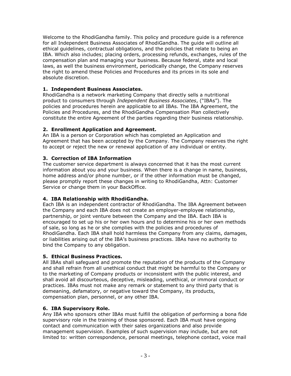Welcome to the RhodiGandha family. This policy and procedure guide is a reference for all Independent Business Associates of RhodiGandha. The guide will outline all ethical guidelines, contractual obligations, and the policies that relate to being an IBA. Which also includes; placing orders, processing refunds, exchanges, rules of the compensation plan and managing your business. Because federal, state and local laws, as well the business environment, periodically change, the Company reserves the right to amend these Policies and Procedures and its prices in its sole and absolute discretion.

## **1. Independent Business Associates.**

RhodiGandha is a network marketing Company that directly sells a nutritional product to consumers through *Independent Business Associates*, ("IBAs"). The policies and procedures herein are applicable to all IBAs. The IBA Agreement, the Policies and Procedures, and the RhodiGandha Compensation Plan collectively constitute the entire Agreement of the parties regarding their business relationship.

## **2. Enrollment Application and Agreement.**

An IBA is a person or Corporation which has completed an Application and Agreement that has been accepted by the Company. The Company reserves the right to accept or reject the new or renewal application of any individual or entity.

## **3. Correction of IBA Information**

The customer service department is always concerned that it has the most current information about you and your business. When there is a change in name, business, home address and/or phone number, or if the other information must be changed, please promptly report these changes in writing to RhodiGandha, Attn: Customer Service or change them in your BackOffice.

## **4. IBA Relationship with RhodiGandha.**

Each IBA is an independent contractor of RhodiGandha. The IBA Agreement between the Company and each IBA does not create an employer-employee relationship, partnership, or joint venture between the Company and the IBA. Each IBA is encouraged to set up his or her own hours and to determine his or her own methods of sale, so long as he or she complies with the policies and procedures of RhodiGandha. Each IBA shall hold harmless the Company from any claims, damages, or liabilities arising out of the IBA's business practices. IBAs have no authority to bind the Company to any obligation.

## **5. Ethical Business Practices.**

All IBAs shall safeguard and promote the reputation of the products of the Company and shall refrain from all unethical conduct that might be harmful to the Company or to the marketing of Company products or inconsistent with the public interest, and shall avoid all discourteous, deceptive, misleading, unethical, or immoral conduct or practices. IBAs must not make any remark or statement to any third party that is demeaning, defamatory, or negative toward the Company, its products, compensation plan, personnel, or any other IBA.

## **6. IBA Supervisory Role.**

Any IBA who sponsors other IBAs must fulfill the obligation of performing a bona fide supervisory role in the training of those sponsored. Each IBA must have ongoing contact and communication with their sales organizations and also provide management supervision. Examples of such supervision may include, but are not limited to: written correspondence, personal meetings, telephone contact, voice mail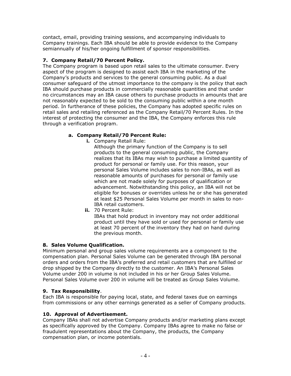contact, email, providing training sessions, and accompanying individuals to Company trainings. Each IBA should be able to provide evidence to the Company semiannually of his/her ongoing fulfillment of sponsor responsibilities.

## **7. Company Retail/70 Percent Policy.**

The Company program is based upon retail sales to the ultimate consumer. Every aspect of the program is designed to assist each IBA in the marketing of the Company's products and services to the general consuming public. As a dual consumer safeguard of the utmost importance to the company is the policy that each IBA should purchase products in commercially reasonable quantities and that under no circumstances may an IBA cause others to purchase products in amounts that are not reasonably expected to be sold to the consuming public within a one month period. In furtherance of these policies, the Company has adopted specific rules on retail sales and retailing referenced as the Company Retail/70 Percent Rules. In the interest of protecting the consumer and the IBA, the Company enforces this rule through a verification program.

#### **a. Company Retail/70 Percent Rule:**

**i.** Company Retail Rule:

Although the primary function of the Company is to sell products to the general consuming public, the Company realizes that its IBAs may wish to purchase a limited quantity of product for personal or family use. For this reason, your personal Sales Volume includes sales to non-IBAs, as well as reasonable amounts of purchases for personal or family use which are not made solely for purposes of qualification or advancement. Notwithstanding this policy, an IBA will not be eligible for bonuses or overrides unless he or she has generated at least \$25 Personal Sales Volume per month in sales to non-IBA retail customers.

**ii.** 70 Percent Rule: IBAs that hold product in inventory may not order additional product until they have sold or used for personal or family use at least 70 percent of the inventory they had on hand during the previous month.

#### **8. Sales Volume Qualification.**

Minimum personal and group sales volume requirements are a component to the compensation plan. Personal Sales Volume can be generated through IBA personal orders and orders from the IBA's preferred and retail customers that are fulfilled or drop shipped by the Company directly to the customer. An IBA's Personal Sales Volume under 200 in volume is not included in his or her Group Sales Volume. Personal Sales Volume over 200 in volume will be treated as Group Sales Volume.

#### **9. Tax Responsibility**.

Each IBA is responsible for paying local, state, and federal taxes due on earnings from commissions or any other earnings generated as a seller of Company products.

#### **10. Approval of Advertisement.**

Company IBAs shall not advertise Company products and/or marketing plans except as specifically approved by the Company. Company IBAs agree to make no false or fraudulent representations about the Company, the products, the Company compensation plan, or income potentials.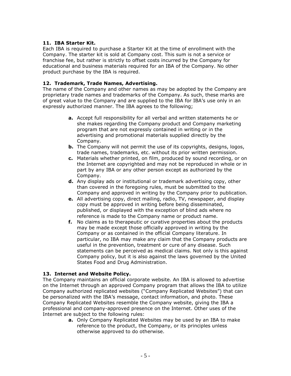#### **11. IBA Starter Kit.**

Each IBA is required to purchase a Starter Kit at the time of enrollment with the Company. The starter kit is sold at Company cost. This sum is not a service or franchise fee, but rather is strictly to offset costs incurred by the Company for educational and business materials required for an IBA of the Company. No other product purchase by the IBA is required.

## **12. Trademark, Trade Names, Advertising.**

The name of the Company and other names as may be adopted by the Company are proprietary trade names and trademarks of the Company. As such, these marks are of great value to the Company and are supplied to the IBA for IBA's use only in an expressly authorized manner. The IBA agrees to the following;

- **a.** Accept full responsibility for all verbal and written statements he or she makes regarding the Company product and Company marketing program that are not expressly contained in writing or in the advertising and promotional materials supplied directly by the Company.
- **b.** The Company will not permit the use of its copyrights, designs, logos, trade names, trademarks, etc. without its prior written permission.
- **c.** Materials whether printed, on film, produced by sound recording, or on the Internet are copyrighted and may not be reproduced in whole or in part by any IBA or any other person except as authorized by the Company.
- **d.** Any display ads or institutional or trademark advertising copy, other than covered in the foregoing rules, must be submitted to the Company and approved in writing by the Company prior to publication.
- **e.** All advertising copy, direct mailing, radio, TV, newspaper, and display copy must be approved in writing before being disseminated, published, or displayed with the exception of blind ads where no reference is made to the Company name or product name.
- **f.** No claims as to therapeutic or curative properties about the products may be made except those officially approved in writing by the Company or as contained in the official Company literature. In particular, no IBA may make any claim that the Company products are useful in the prevention, treatment or cure of any disease. Such statements can be perceived as medical claims. Not only is this against Company policy, but it is also against the laws governed by the United States Food and Drug Administration.

#### **13. Internet and Website Policy.**

The Company maintains an official corporate website. An IBA is allowed to advertise on the Internet through an approved Company program that allows the IBA to utilize Company authorized replicated websites ("Company Replicated Websites") that can be personalized with the IBA's message, contact information, and photo. These Company Replicated Websites resemble the Company website, giving the IBA a professional and company-approved presence on the Internet. Other uses of the Internet are subject to the following rules:

**a.** Only Company Replicated Websites may be used by an IBA to make reference to the product, the Company, or its principles unless otherwise approved to do otherwise.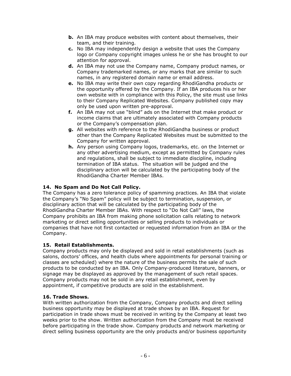- **b.** An IBA may produce websites with content about themselves, their team, and their training.
- **c.** No IBA may independently design a website that uses the Company logo or Company copyright images unless he or she has brought to our attention for approval.
- **d.** An IBA may not use the Company name, Company product names, or Company trademarked names, or any marks that are similar to such names, in any registered domain name or email address.
- **e.** No IBA may write their own copy regarding RhodiGandha products or the opportunity offered by the Company. If an IBA produces his or her own website with in compliance with this Policy, the site must use links to their Company Replicated Websites. Company published copy may only be used upon written pre-approval.
- **f.** An IBA may not use "blind" ads on the Internet that make product or income claims that are ultimately associated with Company products or the Company's compensation plan.
- **g.** All websites with reference to the RhodiGandha business or product other than the Company Replicated Websites must be submitted to the Company for written approval.
- **h.** Any person using Company logos, trademarks, etc. on the Internet or any other advertising medium, except as permitted by Company rules and regulations, shall be subject to immediate discipline, including termination of IBA status. The situation will be judged and the disciplinary action will be calculated by the participating body of the RhodiGandha Charter Member IBAs.

## **14. No Spam and Do Not Call Policy.**

The Company has a zero tolerance policy of spamming practices. An IBA that violate the Company's "No Spam" policy will be subject to termination, suspension, or disciplinary action that will be calculated by the participating body of the RhodiGandha Charter Member IBAs. With respect to "Do Not Call" laws, the Company prohibits an IBA from making phone solicitation calls relating to network marketing or direct selling opportunities or selling products to individuals or companies that have not first contacted or requested information from an IBA or the Company.

#### **15. Retail Establishments.**

Company products may only be displayed and sold in retail establishments (such as salons, doctors' offices, and health clubs where appointments for personal training or classes are scheduled) where the nature of the business permits the sale of such products to be conducted by an IBA. Only Company-produced literature, banners, or signage may be displayed as approved by the management of such retail spaces. Company products may not be sold in any retail establishment, even by appointment, if competitive products are sold in the establishment.

#### **16. Trade Shows.**

With written authorization from the Company, Company products and direct selling business opportunity may be displayed at trade shows by an IBA. Request for participation in trade shows must be received in writing by the Company at least two weeks prior to the show. Written authorization from the Company must be received before participating in the trade show. Company products and network marketing or direct selling business opportunity are the only products and/or business opportunity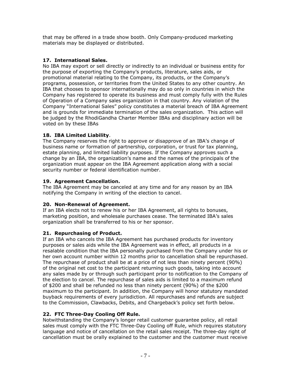that may be offered in a trade show booth. Only Company-produced marketing materials may be displayed or distributed.

## **17. International Sales.**

No IBA may export or sell directly or indirectly to an individual or business entity for the purpose of exporting the Company's products, literature, sales aids, or promotional material relating to the Company, its products, or the Company's programs, possession, or territories from the United States to any other country. An IBA that chooses to sponsor internationally may do so only in countries in which the Company has registered to operate its business and must comply fully with the Rules of Operation of a Company sales organization in that country. Any violation of the Company "International Sales" policy constitutes a material breach of IBA Agreement and is grounds for immediate termination of the sales organization. This action will be judged by the RhodiGandha Charter Member IBAs and disciplinary action will be voted on by these IBAs

## **18. IBA Limited Liability**.

The Company reserves the right to approve or disapprove of an IBA's change of business name or formation of partnership, corporation, or trust for tax planning, estate planning, and limited liability purposes. If the Company approves such a change by an IBA, the organization's name and the names of the principals of the organization must appear on the IBA Agreement application along with a social security number or federal identification number.

## **19. Agreement Cancellation.**

The IBA Agreement may be canceled at any time and for any reason by an IBA notifying the Company in writing of the election to cancel.

## **20. Non-Renewal of Agreement.**

If an IBA elects not to renew his or her IBA Agreement, all rights to bonuses, marketing position, and wholesale purchases cease. The terminated IBA's sales organization shall be transferred to his or her sponsor.

## **21. Repurchasing of Product.**

If an IBA who cancels the IBA Agreement has purchased products for inventory purposes or sales aids while the IBA Agreement was in effect, all products in a resalable condition that the IBA personally purchased from the Company under his or her own account number within 12 months prior to cancellation shall be repurchased. The repurchase of product shall be at a price of not less than ninety percent (90%) of the original net cost to the participant returning such goods, taking into account any sales made by or through such participant prior to notification to the Company of the election to cancel. The repurchase of sales aids is limited to a maximum refund of \$200 and shall be refunded no less than ninety percent (90%) of the \$200 maximum to the participant. In addition, the Company will honor statutory mandated buyback requirements of every jurisdiction. All repurchases and refunds are subject to the Commission, Clawbacks, Debits, and Chargeback's policy set forth below.

## **22. FTC Three-Day Cooling Off Rule.**

Notwithstanding the Company's longer retail customer guarantee policy, all retail sales must comply with the FTC Three-Day Cooling off Rule, which requires statutory language and notice of cancellation on the retail sales receipt. The three-day right of cancellation must be orally explained to the customer and the customer must receive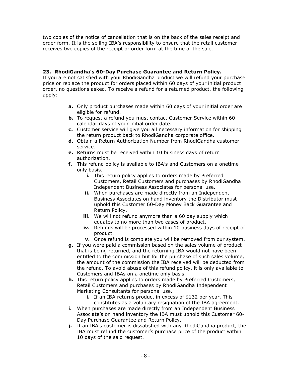two copies of the notice of cancellation that is on the back of the sales receipt and order form. It is the selling IBA's responsibility to ensure that the retail customer receives two copies of the receipt or order form at the time of the sale.

## **23. RhodiGandha's 60-Day Purchase Guarantee and Return Policy.**

If you are not satisfied with your RhodiGandha product we will refund your purchase price or replace the product for orders placed within 60 days of your initial product order, no questions asked. To receive a refund for a returned product, the following apply:

- **a.** Only product purchases made within 60 days of your initial order are eligible for refund.
- **b.** To request a refund you must contact Customer Service within 60 calendar days of your initial order date.
- **c.** Customer service will give you all necessary information for shipping the return product back to RhodiGandha corporate office.
- **d.** Obtain a Return Authorization Number from RhodiGandha customer service.
- **e.** Returns must be received within 10 business days of return authorization.
- **f.** This refund policy is available to IBA's and Customers on a onetime only basis.
	- **i.** This return policy applies to orders made by Preferred Customers, Retail Customers and purchases by RhodiGandha Independent Business Associates for personal use.
	- **ii.** When purchases are made directly from an Independent Business Associates on hand inventory the Distributor must uphold this Customer 60-Day Money Back Guarantee and Return Policy.
	- **iii.** We will not refund anymore than a 60 day supply which equates to no more than two cases of product.
	- **iv.** Refunds will be processed within 10 business days of receipt of product.
	- **v.** Once refund is complete you will be removed from our system.
- **g.** If you were paid a commission based on the sales volume of product that is being returned, and the returning IBA would not have been entitled to the commission but for the purchase of such sales volume, the amount of the commission the IBA received will be deducted from the refund. To avoid abuse of this refund policy, it is only available to Customers and IBAs on a onetime only basis.
- **h.** This return policy applies to orders made by Preferred Customers, Retail Customers and purchases by RhodiGandha Independent Marketing Consultants for personal use.
	- **i.** If an IBA returns product in excess of \$132 per year. This constitutes as a voluntary resignation of the IBA agreement.
- **i.** When purchases are made directly from an Independent Business Associate's on hand inventory the IBA must uphold this Customer 60- Day Purchase Guarantee and Return Policy.
- **j.** If an IBA's customer is dissatisfied with any RhodiGandha product, the IBA must refund the customer's purchase price of the product within 10 days of the said request.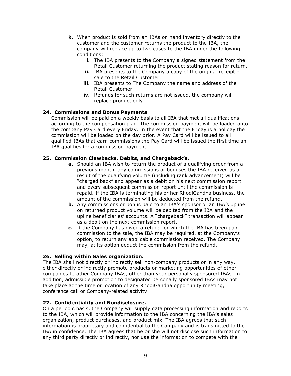- **k.** When product is sold from an IBAs on hand inventory directly to the customer and the customer returns the product to the IBA, the company will replace up to two cases to the IBA under the following conditions:
	- **i.** The IBA presents to the Company a signed statement from the Retail Customer returning the product stating reason for return.
	- **ii.** IBA presents to the Company a copy of the original receipt of sale to the Retail Customer.
	- **iii.** IBA presents to The Company the name and address of the Retail Customer.
	- **iv.** Refunds for such returns are not issued, the company will replace product only.

#### **24. Commissions and Bonus Payments**

Commission will be paid on a weekly basis to all IBA that met all qualifications according to the compensation plan. The commission payment will be loaded onto the company Pay Card every Friday. In the event that the Friday is a holiday the commission will be loaded on the day prior. A Pay Card will be issued to all qualified IBAs that earn commissions the Pay Card will be issued the first time an IBA qualifies for a commission payment.

#### **25. Commission Clawbacks, Debits, and Chargeback's.**

- **a.** Should an IBA wish to return the product of a qualifying order from a previous month, any commissions or bonuses the IBA received as a result of the qualifying volume (including rank advancement) will be "charged back" and appear as a debit on his next commission report and every subsequent commission report until the commission is repaid. If the IBA is terminating his or her RhodiGandha business, the amount of the commission will be deducted from the refund.
- **b.** Any commissions or bonus paid to an IBA's sponsor or an IBA's upline on returned product volume will be debited from the IBA and the upline beneficiaries' accounts. A "chargeback" transaction will appear as a debit on the next commission report.
- **c.** If the Company has given a refund for which the IBA has been paid commission to the sale, the IBA may be required, at the Company's option, to return any applicable commission received. The Company may, at its option deduct the commission from the refund.

#### **26. Selling within Sales organization.**

The IBA shall not directly or indirectly sell non-company products or in any way, either directly or indirectly promote products or marketing opportunities of other companies to other Company IBAs, other than your personally sponsored IBAs. In addition, admissible promotion to designated personally sponsored IBAs may not take place at the time or location of any RhodiGandha opportunity meeting, conference call or Company-related activity.

#### **27. Confidentiality and Nondisclosure.**

On a periodic basis, the Company will supply data processing information and reports to the IBA, which will provide information to the IBA concerning the IBA's sales organization, product purchases, and product mix. The IBA agrees that such information is proprietary and confidential to the Company and is transmitted to the IBA in confidence. The IBA agrees that he or she will not disclose such information to any third party directly or indirectly, nor use the information to compete with the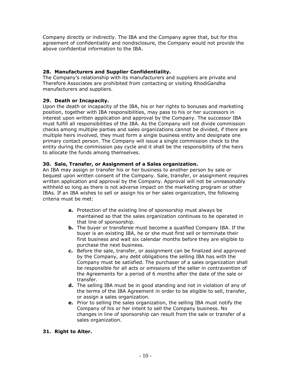Company directly or indirectly. The IBA and the Company agree that, but for this agreement of confidentiality and nondisclosure, the Company would not provide the above confidential information to the IBA.

#### **28. Manufacturers and Supplier Confidentiality.**

The Company's relationship with its manufacturers and suppliers are private and Therefore Associates are prohibited from contacting or visiting RhodiGandha manufacturers and suppliers.

#### **29. Death or Incapacity.**

Upon the death or incapacity of the IBA, his or her rights to bonuses and marketing position, together with IBA responsibilities, may pass to his or her successors in interest upon written application and approval by the Company. The successor IBA must fulfill all responsibilities of the IBA. As the Company will not divide commission checks among multiple parties and sales organizations cannot be divided, if there are multiple heirs involved, they must form a single business entity and designate one primary contact person. The Company will issue a single commission check to the entity during the commission pay cycle and it shall be the responsibility of the heirs to allocate the funds among themselves.

#### **30. Sale, Transfer, or Assignment of a Sales organization.**

An IBA may assign or transfer his or her business to another person by sale or bequest upon written consent of the Company. Sale, transfer, or assignment requires written application and approval by the Company. Approval will not be unreasonably withheld so long as there is not adverse impact on the marketing program or other IBAs. If an IBA wishes to sell or assign his or her sales organization, the following criteria must be met:

- **a.** Protection of the existing line of sponsorship must always be maintained so that the sales organization continues to be operated in that line of sponsorship.
- **b.** The buyer or transferee must become a qualified Company IBA. If the buyer is an existing IBA, he or she must first sell or terminate their first business and wait six calendar months before they are eligible to purchase the next business.
- **c.** Before the sale, transfer, or assignment can be finalized and approved by the Company, any debt obligations the selling IBA has with the Company must be satisfied. The purchaser of a sales organization shall be responsible for all acts or omissions of the seller in contravention of the Agreements for a period of 6 months after the date of the sale or transfer.
- **d.** The selling IBA must be in good standing and not in violation of any of the terms of the IBA Agreement in order to be eligible to sell, transfer, or assign a sales organization.
- **e.** Prior to selling the sales organization, the selling IBA must notify the Company of his or her intent to sell the Company business. No changes in line of sponsorship can result from the sale or transfer of a sales organization.

## **31. Right to Alter.**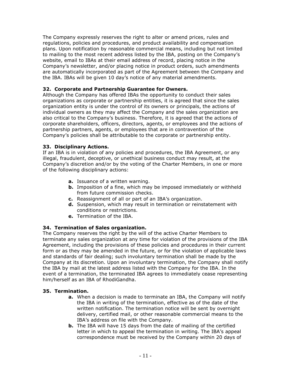The Company expressly reserves the right to alter or amend prices, rules and regulations, policies and procedures, and product availability and compensation plans. Upon notification by reasonable commercial means, including but not limited to mailing to the most recent address listed by the IBA, posting on the Company's website, email to IBAs at their email address of record, placing notice in the Company's newsletter, and/or placing notice in product orders, such amendments are automatically incorporated as part of the Agreement between the Company and the IBA. IBAs will be given 10 day's notice of any material amendments.

#### **32. Corporate and Partnership Guarantee for Owners.**

Although the Company has offered IBAs the opportunity to conduct their sales organizations as corporate or partnership entities, it is agreed that since the sales organization entity is under the control of its owners or principals, the actions of individual owners as they may affect the Company and the sales organization are also critical to the Company's business. Therefore, it is agreed that the actions of corporate shareholders, officers, directors, agents, or employees and the actions of partnership partners, agents, or employees that are in contravention of the Company's policies shall be attributable to the corporate or partnership entity.

#### **33. Disciplinary Actions.**

If an IBA is in violation of any policies and procedures, the IBA Agreement, or any illegal, fraudulent, deceptive, or unethical business conduct may result, at the Company's discretion and/or by the voting of the Charter Members, in one or more of the following disciplinary actions:

- **a.** Issuance of a written warning.
- **b.** Imposition of a fine, which may be imposed immediately or withheld from future commission checks.
- **c.** Reassignment of all or part of an IBA's organization.
- **d.** Suspension, which may result in termination or reinstatement with conditions or restrictions.
- **e.** Termination of the IBA.

#### **34. Termination of Sales organization.**

The Company reserves the right by the will of the active Charter Members to terminate any sales organization at any time for violation of the provisions of the IBA Agreement, including the provisions of these policies and procedures in their current form or as they may be amended in the future, or for the violation of applicable laws and standards of fair dealing; such involuntary termination shall be made by the Company at its discretion. Upon an involuntary termination, the Company shall notify the IBA by mail at the latest address listed with the Company for the IBA. In the event of a termination, the terminated IBA agrees to immediately cease representing him/herself as an IBA of RhodiGandha.

#### **35. Termination.**

- **a.** When a decision is made to terminate an IBA, the Company will notify the IBA in writing of the termination, effective as of the date of the written notification. The termination notice will be sent by overnight delivery, certified mail, or other reasonable commercial means to the IBA's address on file with the Company.
- **b.** The IBA will have 15 days from the date of mailing of the certified letter in which to appeal the termination in writing. The IBA's appeal correspondence must be received by the Company within 20 days of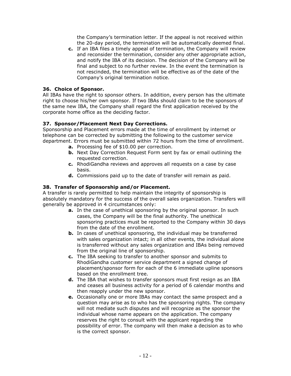the Company's termination letter. If the appeal is not received within the 20-day period, the termination will be automatically deemed final.

**c.** If an IBA files a timely appeal of termination, the Company will review and reconsider the termination, consider any other appropriate action, and notify the IBA of its decision. The decision of the Company will be final and subject to no further review. In the event the termination is not rescinded, the termination will be effective as of the date of the Company's original termination notice.

#### **36. Choice of Sponsor.**

All IBAs have the right to sponsor others. In addition, every person has the ultimate right to choose his/her own sponsor. If two IBAs should claim to be the sponsors of the same new IBA, the Company shall regard the first application received by the corporate home office as the deciding factor.

#### **37. Sponsor/Placement Next Day Corrections.**

Sponsorship and Placement errors made at the time of enrollment by internet or telephone can be corrected by submitting the following to the customer service department. Errors must be submitted within 72 hours from the time of enrollment.

- **a.** Processing fee of \$10.00 per correction.
- **b.** Next Day Correction Request Form sent by fax or email outlining the requested correction.
- **c.** RhodiGandha reviews and approves all requests on a case by case basis.
- **d.** Commissions paid up to the date of transfer will remain as paid.

#### **38. Transfer of Sponsorship and/or Placement.**

A transfer is rarely permitted to help maintain the integrity of sponsorship is absolutely mandatory for the success of the overall sales organization. Transfers will generally be approved in 4 circumstances only:

- **a.** In the case of unethical sponsoring by the original sponsor. In such cases, the Company will be the final authority. The unethical sponsoring practices must be reported to the Company within 30 days from the date of the enrollment.
- **b.** In cases of unethical sponsoring, the individual may be transferred with sales organization intact; in all other events, the individual alone is transferred without any sales organization and IBAs being removed from the original line of sponsorship.
- **c.** The IBA seeking to transfer to another sponsor and submits to RhodiGandha customer service department a signed change of placement/sponsor form for each of the 6 immediate upline sponsors based on the enrollment tree.
- **d.** The IBA that wishes to transfer sponsors must first resign as an IBA and ceases all business activity for a period of 6 calendar months and then reapply under the new sponsor.
- **e.** Occasionally one or more IBAs may contact the same prospect and a question may arise as to who has the sponsoring rights. The company will not mediate such disputes and will recognize as the sponsor the individual whose name appears on the application. The company reserves the right to consult with the applicant regarding the possibility of error. The company will then make a decision as to who is the correct sponsor.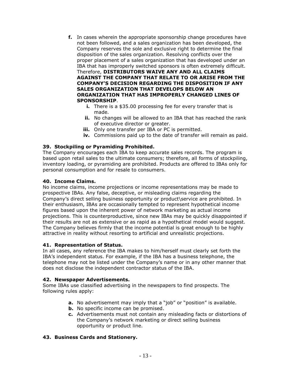- **f.** In cases wherein the appropriate sponsorship change procedures have not been followed, and a sales organization has been developed, the Company reserves the sole and exclusive right to determine the final disposition of the sales organization. Resolving conflicts over the proper placement of a sales organization that has developed under an IBA that has improperly switched sponsors is often extremely difficult. Therefore, **DISTRIBUTORS WAIVE ANY AND ALL CLAIMS AGAINST THE COMPANY THAT RELATE TO OR ARISE FROM THE COMPANY'S DECISION REGARDING THE DISPOSITION IF ANY SALES ORGANIZATION THAT DEVELOPS BELOW AN ORGANIZATION THAT HAS IMPROPERLY CHANGED LINES OF SPONSORSHIP**.
	- **i.** There is a \$35.00 processing fee for every transfer that is made.
	- ii. No changes will be allowed to an IBA that has reached the rank of executive director or greater.
	- **iii.** Only one transfer per IBA or PC is permitted.
	- **iv.** Commissions paid up to the date of transfer will remain as paid.

#### **39. Stockpiling or Pyramiding Prohibited.**

The Company encourages each IBA to keep accurate sales records. The program is based upon retail sales to the ultimate consumers; therefore, all forms of stockpiling, inventory loading, or pyramiding are prohibited. Products are offered to IBAs only for personal consumption and for resale to consumers.

#### **40. Income Claims.**

No income claims, income projections or income representations may be made to prospective IBAs. Any false, deceptive, or misleading claims regarding the Company's direct selling business opportunity or product\service are prohibited. In their enthusiasm, IBAs are occasionally tempted to represent hypothetical income figures based upon the inherent power of network marketing as actual income projections. This is counterproductive, since new IBAs may be quickly disappointed if their results are not as extensive or as rapid as a hypothetical model would suggest. The Company believes firmly that the income potential is great enough to be highly attractive in reality without resorting to artificial and unrealistic projections.

#### **41. Representation of Status.**

In all cases, any reference the IBA makes to him/herself must clearly set forth the IBA's independent status. For example, if the IBA has a business telephone, the telephone may not be listed under the Company's name or in any other manner that does not disclose the independent contractor status of the IBA.

#### **42. Newspaper Advertisements.**

Some IBAs use classified advertising in the newspapers to find prospects. The following rules apply:

- **a.** No advertisement may imply that a "job" or "position" is available.
- **b.** No specific income can be promised.
- **c.** Advertisements must not contain any misleading facts or distortions of the Company's network marketing or direct selling business opportunity or product line.

#### **43. Business Cards and Stationery.**